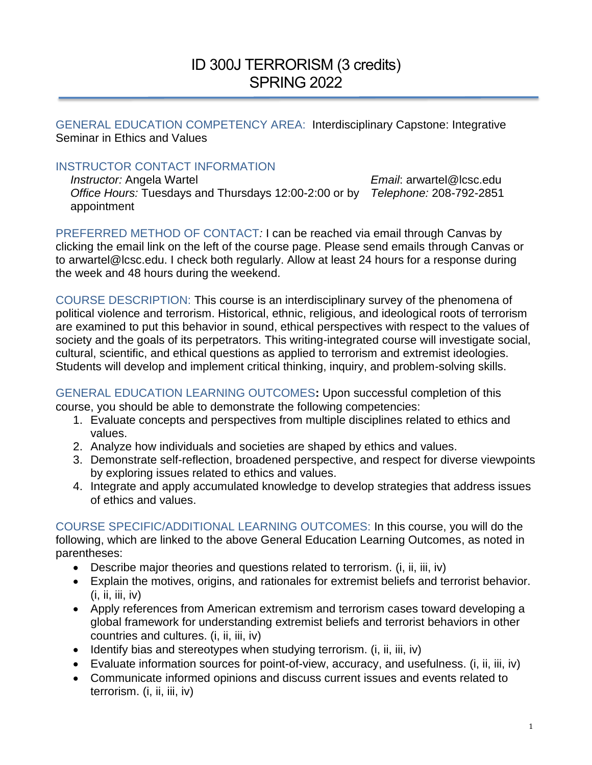# ID 300J TERRORISM (3 credits) SPRING 2022

GENERAL EDUCATION COMPETENCY AREA:Interdisciplinary Capstone: Integrative Seminar in Ethics and Values

### INSTRUCTOR CONTACT INFORMATION

*Instructor:* Angela Wartel *Email*: arwartel@lcsc.edu *Office Hours:* Tuesdays and Thursdays 12:00-2:00 or by *Telephone:* 208-792-2851 appointment

PREFERRED METHOD OF CONTACT*:* I can be reached via email through Canvas by clicking the email link on the left of the course page. Please send emails through Canvas or to arwartel@lcsc.edu. I check both regularly. Allow at least 24 hours for a response during the week and 48 hours during the weekend.

COURSE DESCRIPTION: This course is an interdisciplinary survey of the phenomena of political violence and terrorism. Historical, ethnic, religious, and ideological roots of terrorism are examined to put this behavior in sound, ethical perspectives with respect to the values of society and the goals of its perpetrators. This writing-integrated course will investigate social, cultural, scientific, and ethical questions as applied to terrorism and extremist ideologies. Students will develop and implement critical thinking, inquiry, and problem-solving skills.

GENERAL EDUCATION LEARNING OUTCOMES**:** Upon successful completion of this course, you should be able to demonstrate the following competencies:

- 1. Evaluate concepts and perspectives from multiple disciplines related to ethics and values.
- 2. Analyze how individuals and societies are shaped by ethics and values.
- 3. Demonstrate self-reflection, broadened perspective, and respect for diverse viewpoints by exploring issues related to ethics and values.
- 4. Integrate and apply accumulated knowledge to develop strategies that address issues of ethics and values.

COURSE SPECIFIC/ADDITIONAL LEARNING OUTCOMES: In this course, you will do the following, which are linked to the above General Education Learning Outcomes, as noted in parentheses:

- Describe major theories and questions related to terrorism. (i, ii, iii, iv)
- Explain the motives, origins, and rationales for extremist beliefs and terrorist behavior.  $(i, ii, iii, iv)$
- Apply references from American extremism and terrorism cases toward developing a global framework for understanding extremist beliefs and terrorist behaviors in other countries and cultures. (i, ii, iii, iv)
- Identify bias and stereotypes when studying terrorism. (i, ii, iii, iv)
- Evaluate information sources for point-of-view, accuracy, and usefulness. (i, ii, iii, iv)
- Communicate informed opinions and discuss current issues and events related to terrorism. (i, ii, iii, iv)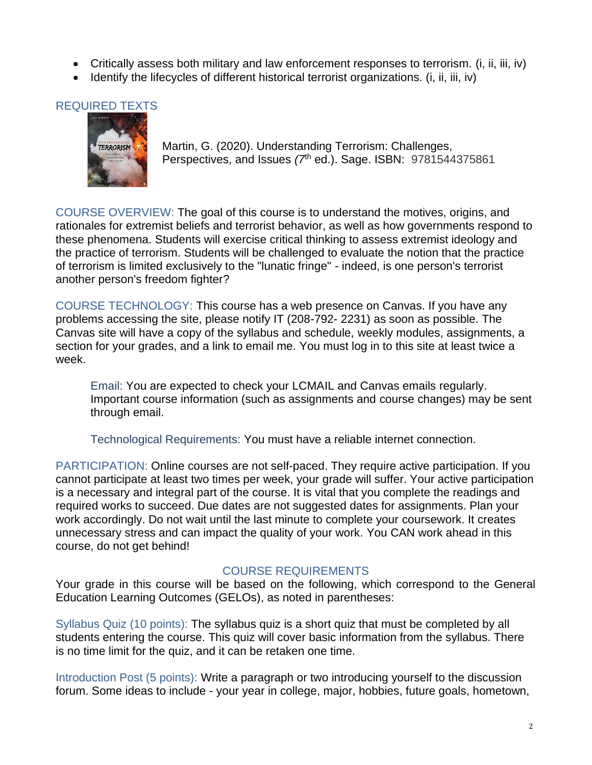- Critically assess both military and law enforcement responses to terrorism. (i, ii, iii, iv)
- Identify the lifecycles of different historical terrorist organizations. (i, ii, iii, iv)

# REQUIRED TEXTS



Martin, G. (2020). Understanding Terrorism: Challenges, Perspectives, and Issues (7<sup>th</sup> ed.). Sage. ISBN: 9781544375861

COURSE OVERVIEW: The goal of this course is to understand the motives, origins, and rationales for extremist beliefs and terrorist behavior, as well as how governments respond to these phenomena. Students will exercise critical thinking to assess extremist ideology and the practice of terrorism. Students will be challenged to evaluate the notion that the practice of terrorism is limited exclusively to the "lunatic fringe" - indeed, is one person's terrorist another person's freedom fighter?

COURSE TECHNOLOGY: This course has a web presence on Canvas. If you have any problems accessing the site, please notify IT (208-792- 2231) as soon as possible. The Canvas site will have a copy of the syllabus and schedule, weekly modules, assignments, a section for your grades, and a link to email me. You must log in to this site at least twice a week.

Email: You are expected to check your LCMAIL and Canvas emails regularly. Important course information (such as assignments and course changes) may be sent through email.

Technological Requirements: You must have a reliable internet connection.

PARTICIPATION: Online courses are not self-paced. They require active participation. If you cannot participate at least two times per week, your grade will suffer. Your active participation is a necessary and integral part of the course. It is vital that you complete the readings and required works to succeed. Due dates are not suggested dates for assignments. Plan your work accordingly. Do not wait until the last minute to complete your coursework. It creates unnecessary stress and can impact the quality of your work. You CAN work ahead in this course, do not get behind!

#### COURSE REQUIREMENTS

Your grade in this course will be based on the following, which correspond to the General Education Learning Outcomes (GELOs), as noted in parentheses:

Syllabus Quiz (10 points): The syllabus quiz is a short quiz that must be completed by all students entering the course. This quiz will cover basic information from the syllabus. There is no time limit for the quiz, and it can be retaken one time.

Introduction Post (5 points): Write a paragraph or two introducing yourself to the discussion forum. Some ideas to include - your year in college, major, hobbies, future goals, hometown,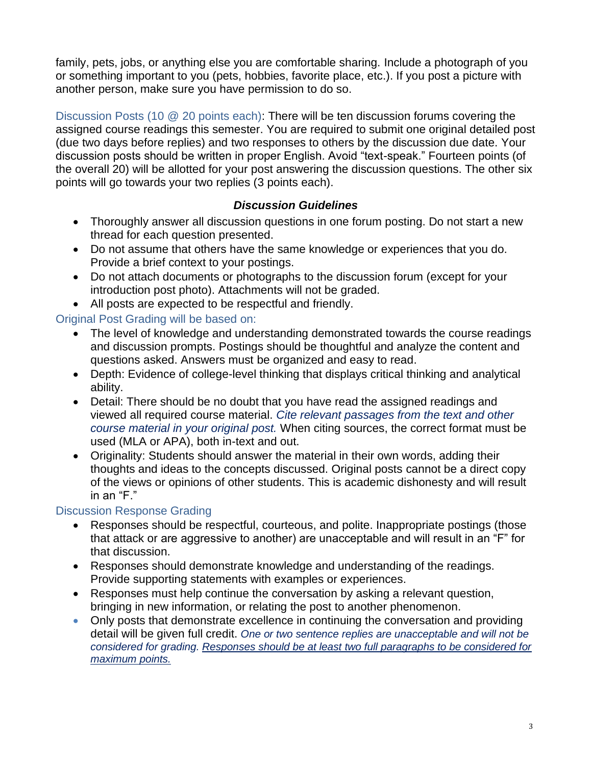family, pets, jobs, or anything else you are comfortable sharing. Include a photograph of you or something important to you (pets, hobbies, favorite place, etc.). If you post a picture with another person, make sure you have permission to do so.

Discussion Posts (10 @ 20 points each): There will be ten discussion forums covering the assigned course readings this semester. You are required to submit one original detailed post (due two days before replies) and two responses to others by the discussion due date. Your discussion posts should be written in proper English. Avoid "text-speak." Fourteen points (of the overall 20) will be allotted for your post answering the discussion questions. The other six points will go towards your two replies (3 points each).

## *Discussion Guidelines*

- Thoroughly answer all discussion questions in one forum posting. Do not start a new thread for each question presented.
- Do not assume that others have the same knowledge or experiences that you do. Provide a brief context to your postings.
- Do not attach documents or photographs to the discussion forum (except for your introduction post photo). Attachments will not be graded.
- All posts are expected to be respectful and friendly.

## Original Post Grading will be based on:

- The level of knowledge and understanding demonstrated towards the course readings and discussion prompts. Postings should be thoughtful and analyze the content and questions asked. Answers must be organized and easy to read.
- Depth: Evidence of college-level thinking that displays critical thinking and analytical ability.
- Detail: There should be no doubt that you have read the assigned readings and viewed all required course material. *Cite relevant passages from the text and other course material in your original post.* When citing sources, the correct format must be used (MLA or APA), both in-text and out.
- Originality: Students should answer the material in their own words, adding their thoughts and ideas to the concepts discussed. Original posts cannot be a direct copy of the views or opinions of other students. This is academic dishonesty and will result in an "F."

### Discussion Response Grading

- Responses should be respectful, courteous, and polite. Inappropriate postings (those that attack or are aggressive to another) are unacceptable and will result in an "F" for that discussion.
- Responses should demonstrate knowledge and understanding of the readings. Provide supporting statements with examples or experiences.
- Responses must help continue the conversation by asking a relevant question, bringing in new information, or relating the post to another phenomenon.
- Only posts that demonstrate excellence in continuing the conversation and providing detail will be given full credit. *One or two sentence replies are unacceptable and will not be considered for grading. Responses should be at least two full paragraphs to be considered for maximum points.*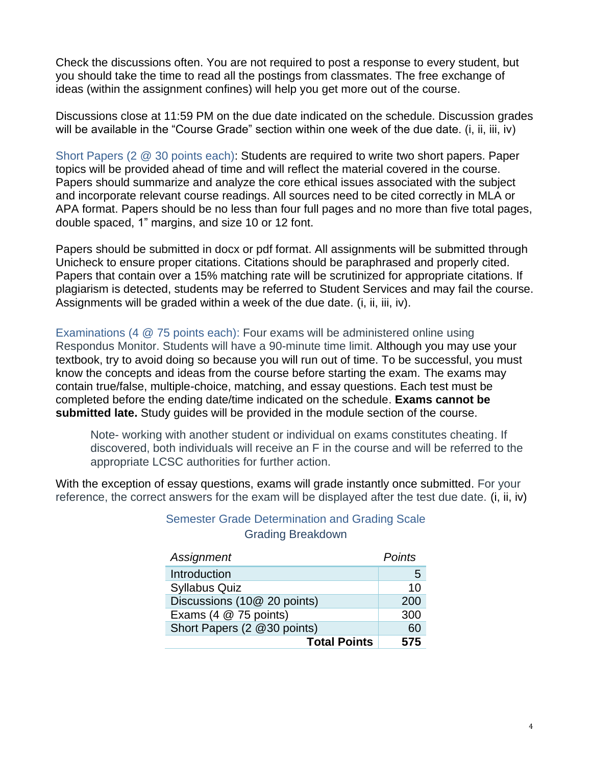Check the discussions often. You are not required to post a response to every student, but you should take the time to read all the postings from classmates. The free exchange of ideas (within the assignment confines) will help you get more out of the course.

Discussions close at 11:59 PM on the due date indicated on the schedule. Discussion grades will be available in the "Course Grade" section within one week of the due date. (i, ii, iii, iv)

Short Papers (2 @ 30 points each): Students are required to write two short papers. Paper topics will be provided ahead of time and will reflect the material covered in the course. Papers should summarize and analyze the core ethical issues associated with the subject and incorporate relevant course readings. All sources need to be cited correctly in MLA or APA format. Papers should be no less than four full pages and no more than five total pages, double spaced, 1" margins, and size 10 or 12 font.

Papers should be submitted in docx or pdf format. All assignments will be submitted through Unicheck to ensure proper citations. Citations should be paraphrased and properly cited. Papers that contain over a 15% matching rate will be scrutinized for appropriate citations. If plagiarism is detected, students may be referred to Student Services and may fail the course. Assignments will be graded within a week of the due date. (i, ii, iii, iv).

Examinations (4 @ 75 points each): Four exams will be administered online using Respondus Monitor. Students will have a 90-minute time limit. Although you may use your textbook, try to avoid doing so because you will run out of time. To be successful, you must know the concepts and ideas from the course before starting the exam. The exams may contain true/false, multiple-choice, matching, and essay questions. Each test must be completed before the ending date/time indicated on the schedule. **Exams cannot be submitted late.** Study guides will be provided in the module section of the course.

Note- working with another student or individual on exams constitutes cheating. If discovered, both individuals will receive an F in the course and will be referred to the appropriate LCSC authorities for further action.

With the exception of essay questions, exams will grade instantly once submitted. For your reference, the correct answers for the exam will be displayed after the test due date. (i, ii, iv)

| Assignment                  | Points |
|-----------------------------|--------|
| Introduction                | 5      |
| <b>Syllabus Quiz</b>        | 10     |
| Discussions (10@ 20 points) | 200    |
| Exams (4 @ 75 points)       | 300    |
| Short Papers (2 @30 points) | 60     |
| <b>Total Points</b>         | 575    |

### Semester Grade Determination and Grading Scale Grading Breakdown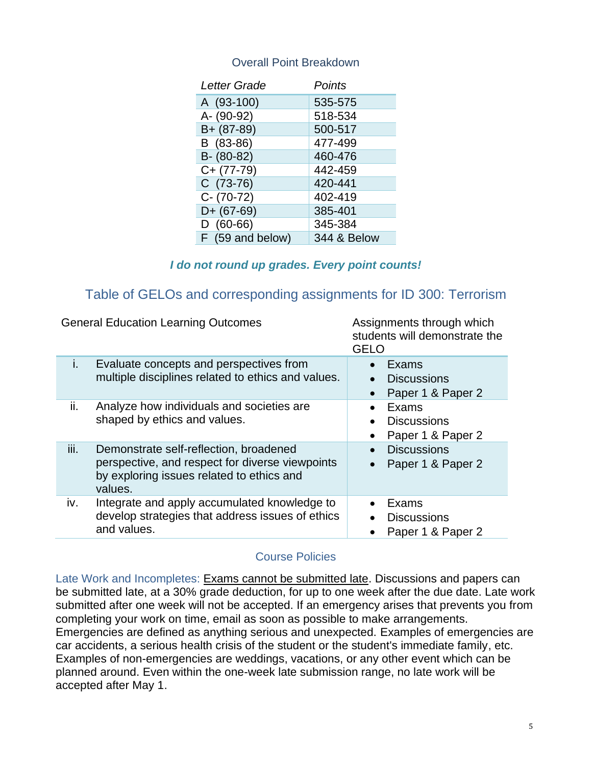#### Overall Point Breakdown

| Letter Grade     | Points                 |
|------------------|------------------------|
| A (93-100)       | 535-575                |
| A- (90-92)       | 518-534                |
| B+ (87-89)       | 500-517                |
| B (83-86)        | 477-499                |
| $B - (80-82)$    | 460-476                |
| C+ (77-79)       | 442-459                |
| $C(73-76)$       | 420-441                |
| $C - (70-72)$    | 402-419                |
| $D+ (67-69)$     | 385-401                |
| $D(60-66)$       | 345-384                |
| F (59 and below) | <b>344 &amp; Below</b> |

#### *I do not round up grades. Every point counts!*

# Table of GELOs and corresponding assignments for ID 300: Terrorism

|      | <b>General Education Learning Outcomes</b>                                                                                                        | Assignments through which<br>students will demonstrate the<br><b>GELO</b>               |
|------|---------------------------------------------------------------------------------------------------------------------------------------------------|-----------------------------------------------------------------------------------------|
| i.   | Evaluate concepts and perspectives from<br>multiple disciplines related to ethics and values.                                                     | Exams<br>$\bullet$<br><b>Discussions</b><br>Paper 1 & Paper 2<br>$\bullet$              |
| ii.  | Analyze how individuals and societies are<br>shaped by ethics and values.                                                                         | Exams<br>$\bullet$<br><b>Discussions</b><br>$\bullet$<br>Paper 1 & Paper 2<br>$\bullet$ |
| iii. | Demonstrate self-reflection, broadened<br>perspective, and respect for diverse viewpoints<br>by exploring issues related to ethics and<br>values. | <b>Discussions</b><br>$\bullet$<br>Paper 1 & Paper 2<br>$\bullet$                       |
| iv.  | Integrate and apply accumulated knowledge to<br>develop strategies that address issues of ethics<br>and values.                                   | Exams<br>$\bullet$<br><b>Discussions</b><br>$\bullet$<br>Paper 1 & Paper 2<br>$\bullet$ |

#### Course Policies

Late Work and Incompletes: Exams cannot be submitted late. Discussions and papers can be submitted late, at a 30% grade deduction, for up to one week after the due date. Late work submitted after one week will not be accepted. If an emergency arises that prevents you from completing your work on time, email as soon as possible to make arrangements. Emergencies are defined as anything serious and unexpected. Examples of emergencies are car accidents, a serious health crisis of the student or the student's immediate family, etc. Examples of non-emergencies are weddings, vacations, or any other event which can be planned around. Even within the one-week late submission range, no late work will be accepted after May 1.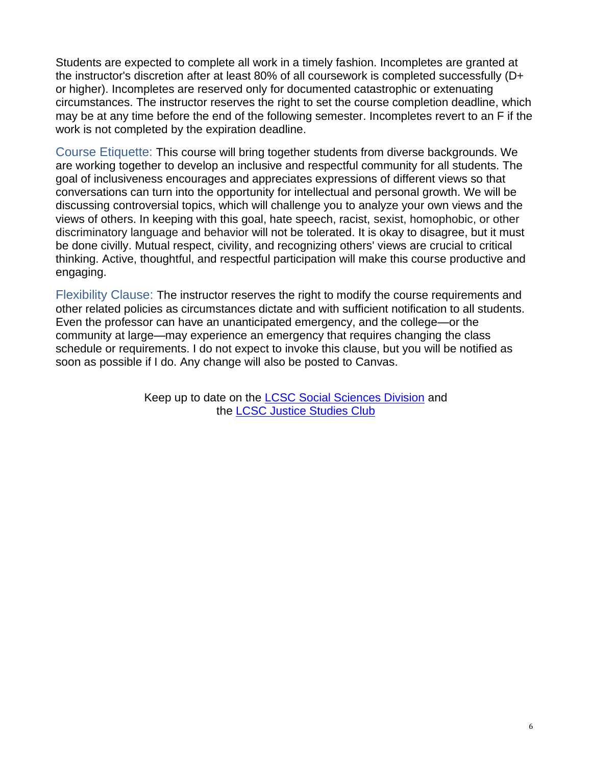Students are expected to complete all work in a timely fashion. Incompletes are granted at the instructor's discretion after at least 80% of all coursework is completed successfully (D+ or higher). Incompletes are reserved only for documented catastrophic or extenuating circumstances. The instructor reserves the right to set the course completion deadline, which may be at any time before the end of the following semester. Incompletes revert to an F if the work is not completed by the expiration deadline.

Course Etiquette: This course will bring together students from diverse backgrounds. We are working together to develop an inclusive and respectful community for all students. The goal of inclusiveness encourages and appreciates expressions of different views so that conversations can turn into the opportunity for intellectual and personal growth. We will be discussing controversial topics, which will challenge you to analyze your own views and the views of others. In keeping with this goal, hate speech, racist, sexist, homophobic, or other discriminatory language and behavior will not be tolerated. It is okay to disagree, but it must be done civilly. Mutual respect, civility, and recognizing others' views are crucial to critical thinking. Active, thoughtful, and respectful participation will make this course productive and engaging.

Flexibility Clause: The instructor reserves the right to modify the course requirements and other related policies as circumstances dictate and with sufficient notification to all students. Even the professor can have an unanticipated emergency, and the college—or the community at large—may experience an emergency that requires changing the class schedule or requirements. I do not expect to invoke this clause, but you will be notified as soon as possible if I do. Any change will also be posted to Canvas.

> Keep up to date on the **LCSC Social Sciences Division** and the [LCSC Justice Studies Club](https://www.facebook.com/LCSCJSClub)